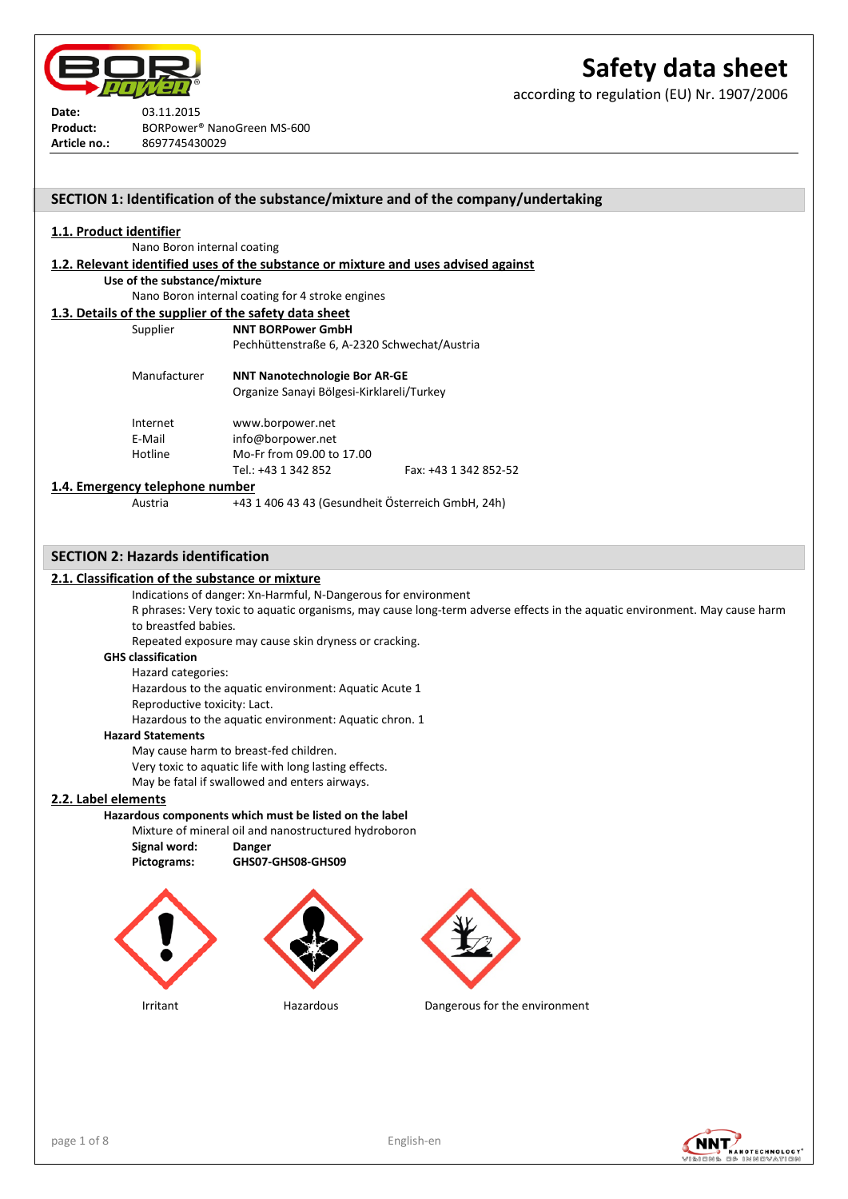

according to regulation (EU) Nr. 1907/2006

**Date:** 03.11.2015 **Product:** BORPower® NanoGreen MS-600 **Article no.:** 8697745430029

# **SECTION 1: Identification of the substance/mixture and of the company/undertaking**

## **1.1. Product identifier**

Nano Boron internal coating

**1.2. Relevant identified uses of the substance or mixture and uses advised against**

**Use of the substance/mixture**

Nano Boron internal coating for 4 stroke engines

- **1.3. Details of the supplier of the safety data sheet** Supplier **NNT BORPower GmbH**
	- Pechhüttenstraße 6, A-2320 Schwechat/Austria Manufacturer **NNT Nanotechnologie Bor AR-GE** Organize Sanayi Bölgesi-Kirklareli/Turkey Internet www.borpower.net E-Mail info@borpower.net Hotline Mo-Fr from 09.00 to 17.00 Tel.: +43 1 342 852 Fax: +43 1 342 852-52

### **1.4. Emergency telephone number**

Austria +43 1 406 43 43 (Gesundheit Österreich GmbH, 24h)

## **SECTION 2: Hazards identification**

### **2.1. Classification of the substance or mixture**

Indications of danger: Xn-Harmful, N-Dangerous for environment

R phrases: Very toxic to aquatic organisms, may cause long-term adverse effects in the aquatic environment. May cause harm to breastfed babies.

Repeated exposure may cause skin dryness or cracking.

### **GHS classification**

Hazard categories:

Hazardous to the aquatic environment: Aquatic Acute 1

Reproductive toxicity: Lact.

Hazardous to the aquatic environment: Aquatic chron. 1

#### **Hazard Statements**

May cause harm to breast-fed children.

Very toxic to aquatic life with long lasting effects.

#### May be fatal if swallowed and enters airways.

## **2.2. Label elements**

**Hazardous components which must be listed on the label**

Mixture of mineral oil and nanostructured hydroboron **Signal word: Danger**

**Pictograms: GHS07-GHS08-GHS09**







Irritant Hazardous Dangerous for the environment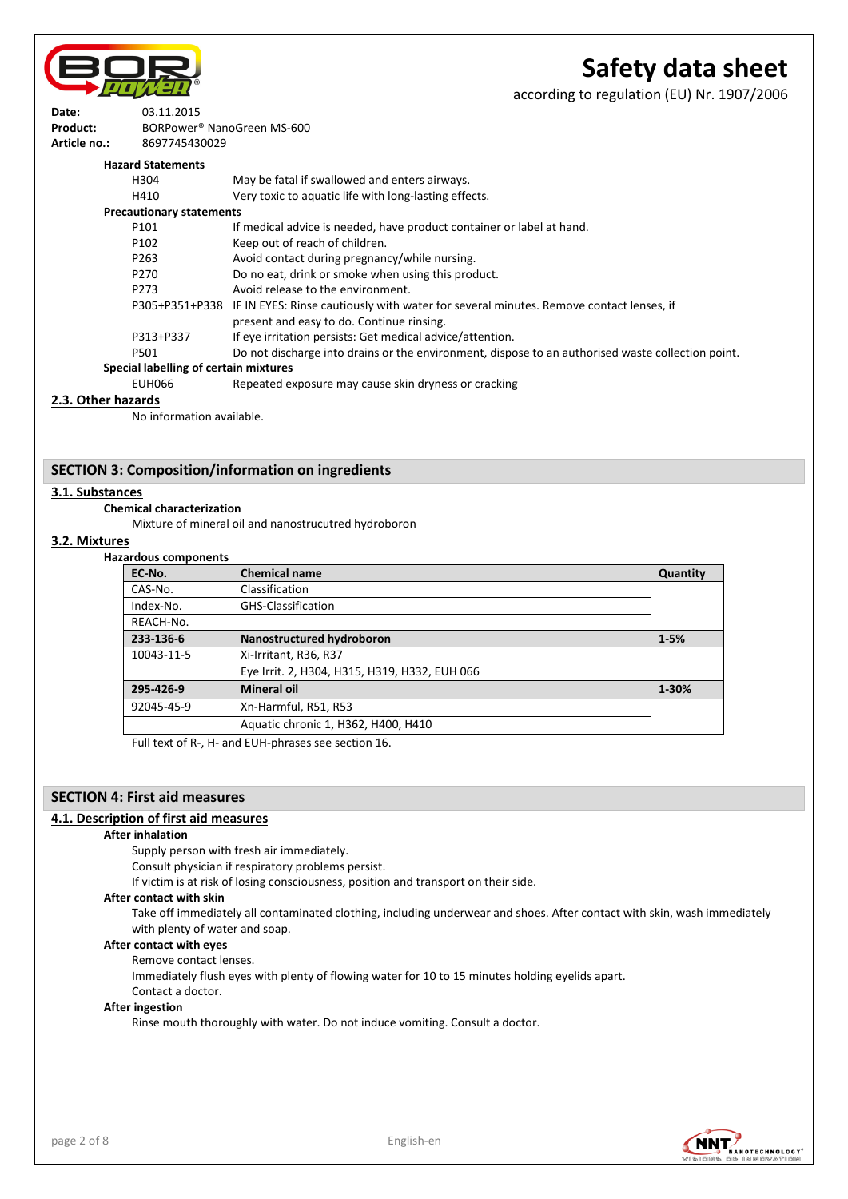

according to regulation (EU) Nr. 1907/2006



**Product:** BORPower® NanoGreen MS-600 **Article no.:** 8697745430029

| <b>Hazard Statements</b>              |                                                                                                       |
|---------------------------------------|-------------------------------------------------------------------------------------------------------|
| H304                                  | May be fatal if swallowed and enters airways.                                                         |
| H410                                  | Very toxic to aquatic life with long-lasting effects.                                                 |
| <b>Precautionary statements</b>       |                                                                                                       |
| P101                                  | If medical advice is needed, have product container or label at hand.                                 |
| P <sub>102</sub>                      | Keep out of reach of children.                                                                        |
| P <sub>263</sub>                      | Avoid contact during pregnancy/while nursing.                                                         |
| P <sub>270</sub>                      | Do no eat, drink or smoke when using this product.                                                    |
| P273                                  | Avoid release to the environment.                                                                     |
|                                       | P305+P351+P338 IF IN EYES: Rinse cautiously with water for several minutes. Remove contact lenses, if |
|                                       | present and easy to do. Continue rinsing.                                                             |
| P313+P337                             | If eye irritation persists: Get medical advice/attention.                                             |
| P501                                  | Do not discharge into drains or the environment, dispose to an authorised waste collection point.     |
| Special labelling of certain mixtures |                                                                                                       |
| EUH066                                | Repeated exposure may cause skin dryness or cracking                                                  |

## **2.3. Other hazards**

No information available.

## **SECTION 3: Composition/information on ingredients**

# **3.1. Substances**

# **Chemical characterization**

Mixture of mineral oil and nanostrucutred hydroboron

#### **3.2. Mixtures**

## **Hazardous components**

| EC-No.     | <b>Chemical name</b>                          | Quantity |
|------------|-----------------------------------------------|----------|
| CAS-No.    | Classification                                |          |
| Index-No.  | <b>GHS-Classification</b>                     |          |
| REACH-No.  |                                               |          |
| 233-136-6  | Nanostructured hydroboron                     | $1 - 5%$ |
| 10043-11-5 | Xi-Irritant, R36, R37                         |          |
|            | Eye Irrit. 2, H304, H315, H319, H332, EUH 066 |          |
| 295-426-9  | <b>Mineral oil</b>                            | 1-30%    |
| 92045-45-9 | Xn-Harmful, R51, R53                          |          |
|            | Aquatic chronic 1, H362, H400, H410           |          |

Full text of R-, H- and EUH-phrases see section 16.

## **SECTION 4: First aid measures**

## **4.1. Description of first aid measures**

#### **After inhalation**

Supply person with fresh air immediately.

Consult physician if respiratory problems persist.

If victim is at risk of losing consciousness, position and transport on their side.

#### **After contact with skin**

Take off immediately all contaminated clothing, including underwear and shoes. After contact with skin, wash immediately with plenty of water and soap.

## **After contact with eyes**

Remove contact lenses.

Immediately flush eyes with plenty of flowing water for 10 to 15 minutes holding eyelids apart. Contact a doctor.

### **After ingestion**

Rinse mouth thoroughly with water. Do not induce vomiting. Consult a doctor.

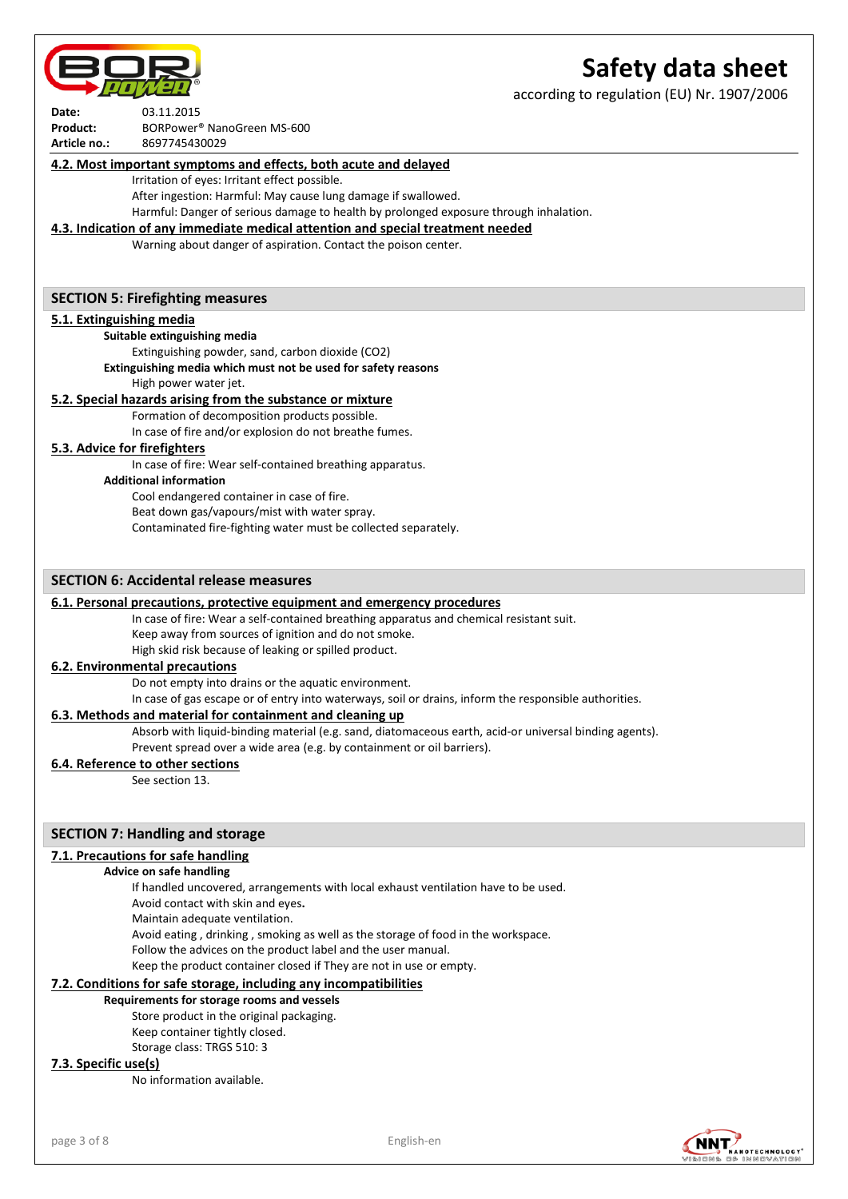according to regulation (EU) Nr. 1907/2006

| Date:        | 03.11.2015                             |
|--------------|----------------------------------------|
| Product:     | BORPower <sup>®</sup> NanoGreen MS-600 |
| Article no.: | 8697745430029                          |

### **4.2. Most important symptoms and effects, both acute and delayed**

Irritation of eyes: Irritant effect possible.

After ingestion: Harmful: May cause lung damage if swallowed.

Harmful: Danger of serious damage to health by prolonged exposure through inhalation.

## **4.3. Indication of any immediate medical attention and special treatment needed**

Warning about danger of aspiration. Contact the poison center.

### **SECTION 5: Firefighting measures**

### **5.1. Extinguishing media**

**Suitable extinguishing media**

Extinguishing powder, sand, carbon dioxide (CO2)

#### **Extinguishing media which must not be used for safety reasons** High power water jet.

## **5.2. Special hazards arising from the substance or mixture**

Formation of decomposition products possible. In case of fire and/or explosion do not breathe fumes.

## **5.3. Advice for firefighters**

In case of fire: Wear self-contained breathing apparatus.

**Additional information**

Cool endangered container in case of fire. Beat down gas/vapours/mist with water spray. Contaminated fire-fighting water must be collected separately.

## **SECTION 6: Accidental release measures**

## **6.1. Personal precautions, protective equipment and emergency procedures**

In case of fire: Wear a self-contained breathing apparatus and chemical resistant suit.

Keep away from sources of ignition and do not smoke. High skid risk because of leaking or spilled product.

## **6.2. Environmental precautions**

Do not empty into drains or the aquatic environment.

In case of gas escape or of entry into waterways, soil or drains, inform the responsible authorities.

#### **6.3. Methods and material for containment and cleaning up**

Absorb with liquid-binding material (e.g. sand, diatomaceous earth, acid-or universal binding agents).

Prevent spread over a wide area (e.g. by containment or oil barriers).

# **6.4. Reference to other sections**

See section 13.

## **SECTION 7: Handling and storage**

## **7.1. Precautions for safe handling**

## **Advice on safe handling**

If handled uncovered, arrangements with local exhaust ventilation have to be used.

Avoid contact with skin and eyes**.**

Maintain adequate ventilation.

Avoid eating , drinking , smoking as well as the storage of food in the workspace.

Follow the advices on the product label and the user manual.

Keep the product container closed if They are not in use or empty.

## **7.2. Conditions for safe storage, including any incompatibilities**

#### **Requirements for storage rooms and vessels**

Store product in the original packaging. Keep container tightly closed. Storage class: TRGS 510: 3

## **7.3. Specific use(s)**

No information available.

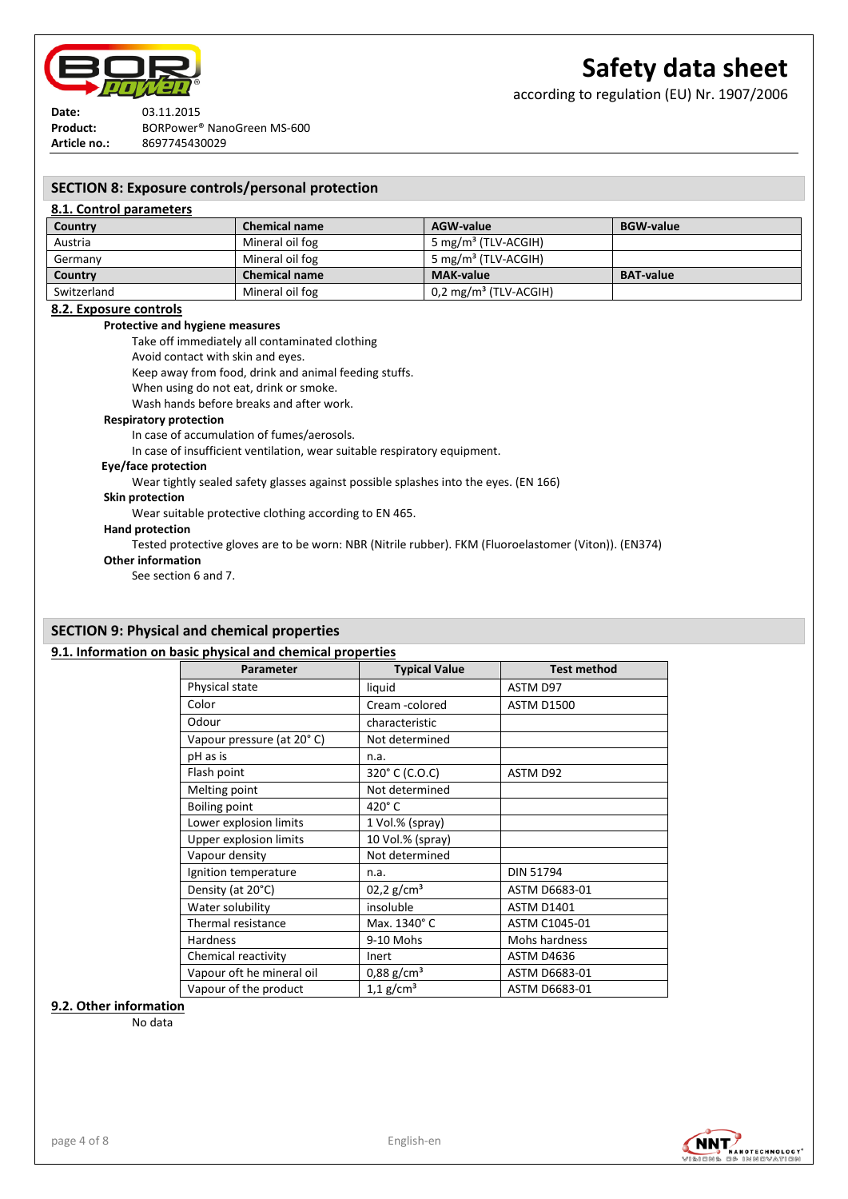

according to regulation (EU) Nr. 1907/2006

**Date:** 03.11.2015 **Product:** BORPower® NanoGreen MS-600 **Article no.:** 8697745430029

## **SECTION 8: Exposure controls/personal protection**

## **8.1. Control parameters**

| Country     | <b>Chemical name</b> | AGW-value                        | <b>BGW-value</b> |
|-------------|----------------------|----------------------------------|------------------|
| Austria     | Mineral oil fog      | 5 mg/m <sup>3</sup> (TLV-ACGIH)  |                  |
| Germany     | Mineral oil fog      | 5 mg/m <sup>3</sup> (TLV-ACGIH)  |                  |
| Country     | <b>Chemical name</b> | <b>MAK-value</b>                 | <b>BAT-value</b> |
| Switzerland | Mineral oil fog      | $0.2 \text{ mg/m}^3$ (TLV-ACGIH) |                  |

#### **8.2. Exposure controls**

## **Protective and hygiene measures**

Take off immediately all contaminated clothing

Avoid contact with skin and eyes.

Keep away from food, drink and animal feeding stuffs.

When using do not eat, drink or smoke.

Wash hands before breaks and after work.

#### **Respiratory protection**

In case of accumulation of fumes/aerosols.

In case of insufficient ventilation, wear suitable respiratory equipment.

#### **Eye/face protection**

Wear tightly sealed safety glasses against possible splashes into the eyes. (EN 166)

#### **Skin protection**

Wear suitable protective clothing according to EN 465.

#### **Hand protection**

Tested protective gloves are to be worn: NBR (Nitrile rubber). FKM (Fluoroelastomer (Viton)). (EN374)

#### **Other information**

See section 6 and 7.

# **SECTION 9: Physical and chemical properties**

## **9.1. Information on basic physical and chemical properties**

| Parameter                 | <b>Typical Value</b>     | <b>Test method</b> |
|---------------------------|--------------------------|--------------------|
| Physical state            | liquid                   | ASTM D97           |
| Color                     | Cream -colored           | <b>ASTM D1500</b>  |
| Odour                     | characteristic           |                    |
| Vapour pressure (at 20°C) | Not determined           |                    |
| pH as is                  | n.a.                     |                    |
| Flash point               | 320° C (C.O.C)           | ASTM D92           |
| Melting point             | Not determined           |                    |
| Boiling point             | 420°C                    |                    |
| Lower explosion limits    | 1 Vol.% (spray)          |                    |
| Upper explosion limits    | 10 Vol.% (spray)         |                    |
| Vapour density            | Not determined           |                    |
| Ignition temperature      | n.a.                     | <b>DIN 51794</b>   |
| Density (at 20°C)         | 02,2 g/cm <sup>3</sup>   | ASTM D6683-01      |
| Water solubility          | insoluble                | <b>ASTM D1401</b>  |
| Thermal resistance        | Max. 1340°C              | ASTM C1045-01      |
| <b>Hardness</b>           | 9-10 Mohs                | Mohs hardness      |
| Chemical reactivity       | Inert                    | <b>ASTM D4636</b>  |
| Vapour oft he mineral oil | $0,88$ g/cm <sup>3</sup> | ASTM D6683-01      |
| Vapour of the product     | $1.1$ g/cm <sup>3</sup>  | ASTM D6683-01      |

#### **9.2. Other information**

No data

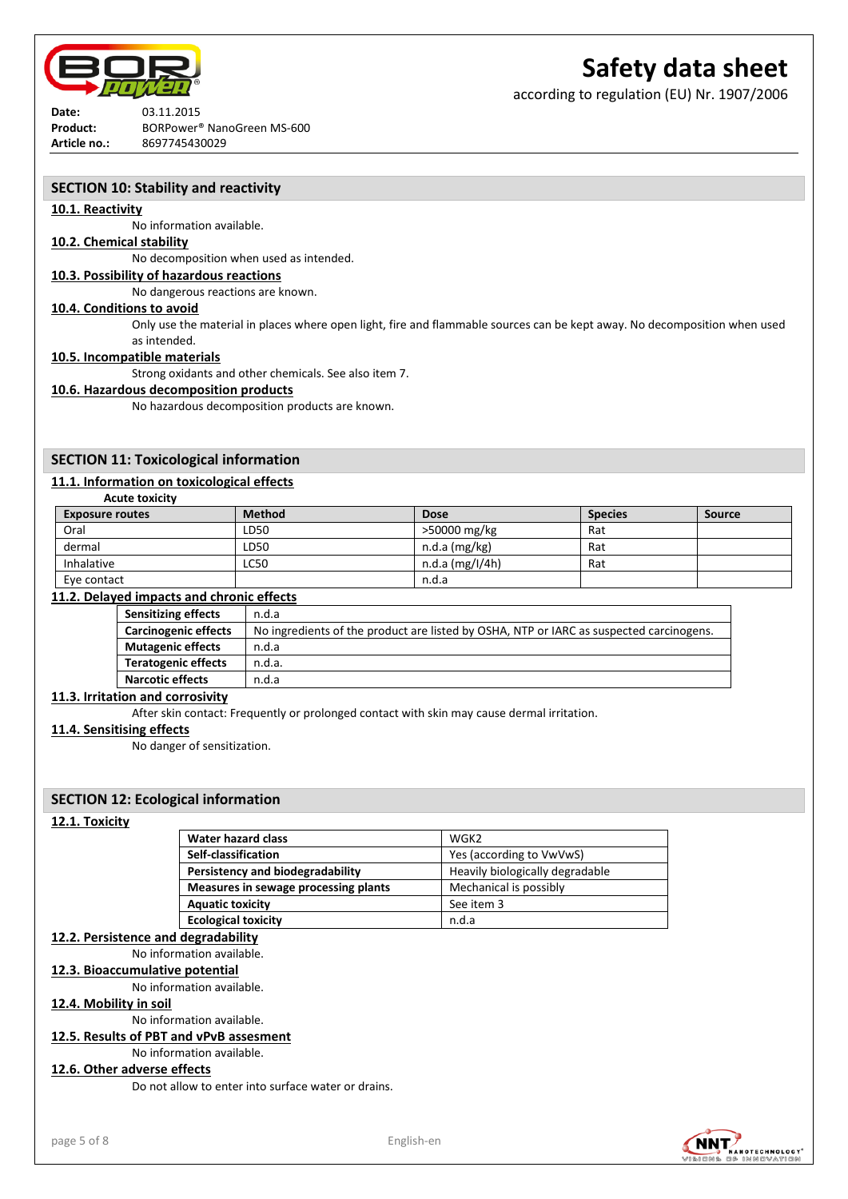

**Date:** 03.11.2015 **Product:** BORPower® NanoGreen MS-600 **Article no.:** 8697745430029

# **Safety data sheet**

according to regulation (EU) Nr. 1907/2006

## **SECTION 10: Stability and reactivity**

## **10.1. Reactivity**

No information available.

## **10.2. Chemical stability**

No decomposition when used as intended.

## **10.3. Possibility of hazardous reactions**

No dangerous reactions are known.

## **10.4. Conditions to avoid**

Only use the material in places where open light, fire and flammable sources can be kept away. No decomposition when used as intended.

## **10.5. Incompatible materials**

**Acute toxicity**

Strong oxidants and other chemicals. See also item 7.

#### **10.6. Hazardous decomposition products**

No hazardous decomposition products are known.

## **SECTION 11: Toxicological information**

## **11.1. Information on toxicological effects**

| <b>Exposure routes</b> | <b>Method</b> | <b>Dose</b>     | <b>Species</b> | Source |
|------------------------|---------------|-----------------|----------------|--------|
| Oral                   | LD50          | >50000 mg/kg    | Rat            |        |
| dermal                 | LD50          | $n.d.a$ (mg/kg) | Rat            |        |
| Inhalative             | LC50          | n.d.a (mg/l/4h) | Rat            |        |
| Eve contact            |               | n.d.a           |                |        |

## **11.2. Delayed impacts and chronic effects**

| <b>Sensitizing effects</b>  | n.d.a                                                                                   |
|-----------------------------|-----------------------------------------------------------------------------------------|
| <b>Carcinogenic effects</b> | No ingredients of the product are listed by OSHA, NTP or IARC as suspected carcinogens. |
| <b>Mutagenic effects</b>    | n.d.a                                                                                   |
| <b>Teratogenic effects</b>  | n.d.a.                                                                                  |
| <b>Narcotic effects</b>     | n.d.a                                                                                   |

# **11.3. Irritation and corrosivity**

After skin contact: Frequently or prolonged contact with skin may cause dermal irritation.

#### **11.4. Sensitising effects**

No danger of sensitization.

## **SECTION 12: Ecological information**

#### **12.1. Toxicity**

| Water hazard class                   | WGK2                            |
|--------------------------------------|---------------------------------|
| Self-classification                  | Yes (according to VwVwS)        |
| Persistency and biodegradability     | Heavily biologically degradable |
| Measures in sewage processing plants | Mechanical is possibly          |
| <b>Aquatic toxicity</b>              | See item 3                      |
| <b>Ecological toxicity</b>           | n.d.a                           |

## **12.2. Persistence and degradability**

No information available.

#### **12.3. Bioaccumulative potential**

No information available.

## **12.4. Mobility in soil**

No information available.

# **12.5. Results of PBT and vPvB assesment**

No information available.

## **12.6. Other adverse effects**

Do not allow to enter into surface water or drains.

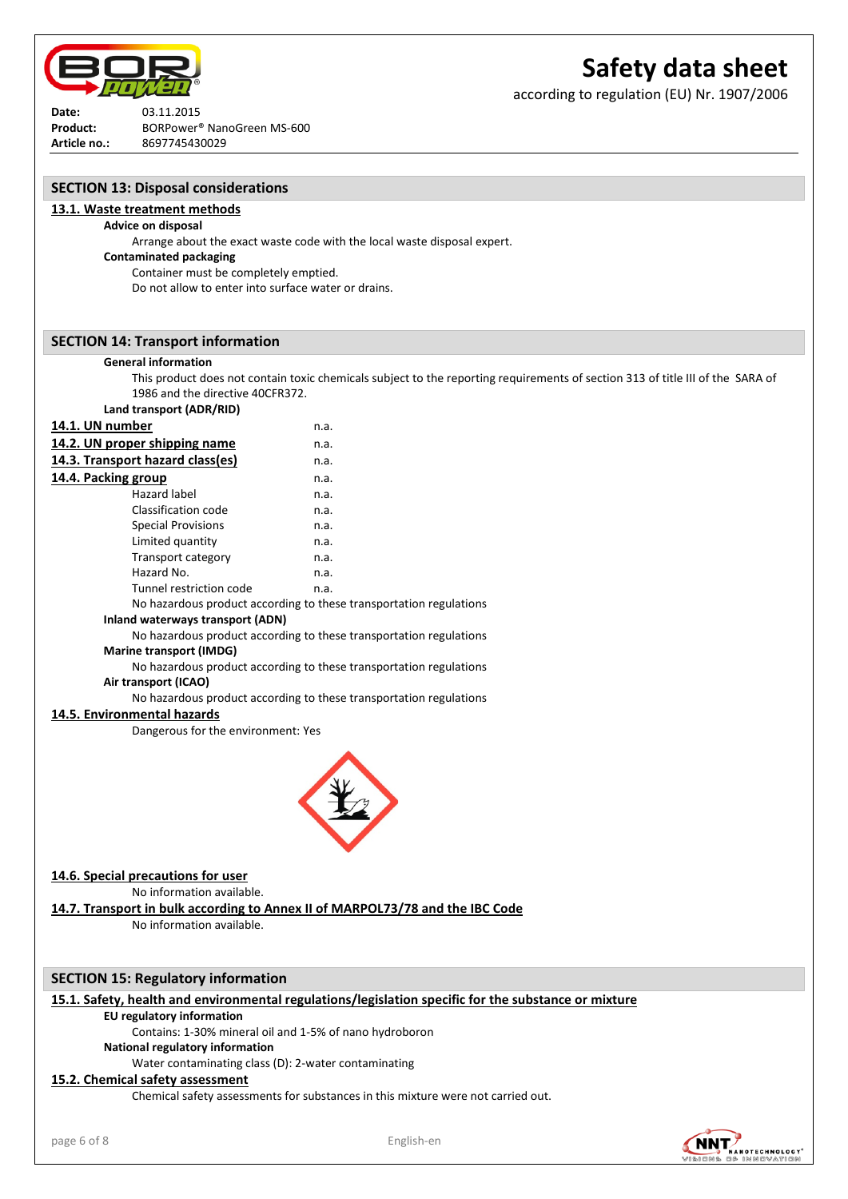

according to regulation (EU) Nr. 1907/2006

**Date:** 03.11.2015 **Product:** BORPower® NanoGreen MS-600 **Article no.:** 8697745430029

**SECTION 13: Disposal considerations**

**13.1. Waste treatment methods Advice on disposal** 

| <b>Contaminated packaging</b><br>Container must be completely emptied. | Arrange about the exact waste code with the local waste disposal expert.                                                       |
|------------------------------------------------------------------------|--------------------------------------------------------------------------------------------------------------------------------|
| Do not allow to enter into surface water or drains.                    |                                                                                                                                |
| <b>SECTION 14: Transport information</b>                               |                                                                                                                                |
| <b>General information</b>                                             |                                                                                                                                |
|                                                                        | This product does not contain toxic chemicals subject to the reporting requirements of section 313 of title III of the SARA of |
| 1986 and the directive 40CFR372.                                       |                                                                                                                                |
| Land transport (ADR/RID)                                               |                                                                                                                                |
| 14.1. UN number                                                        | n.a.                                                                                                                           |
| 14.2. UN proper shipping name                                          | n.a.                                                                                                                           |
| 14.3. Transport hazard class(es)                                       | n.a.                                                                                                                           |
| 14.4. Packing group                                                    | n.a.                                                                                                                           |
| Hazard label                                                           | n.a.                                                                                                                           |
| <b>Classification code</b>                                             | n.a.                                                                                                                           |
| <b>Special Provisions</b>                                              | n.a.                                                                                                                           |
| Limited quantity<br>Transport category                                 | n.a.<br>n.a.                                                                                                                   |
| Hazard No.                                                             | n.a.                                                                                                                           |
| Tunnel restriction code                                                | n.a.                                                                                                                           |
|                                                                        | No hazardous product according to these transportation regulations                                                             |
| Inland waterways transport (ADN)                                       |                                                                                                                                |
|                                                                        | No hazardous product according to these transportation regulations                                                             |
| <b>Marine transport (IMDG)</b>                                         |                                                                                                                                |
|                                                                        | No hazardous product according to these transportation regulations                                                             |
| Air transport (ICAO)                                                   |                                                                                                                                |
|                                                                        | No hazardous product according to these transportation regulations                                                             |
| 14.5. Environmental hazards                                            |                                                                                                                                |
| Dangerous for the environment: Yes                                     |                                                                                                                                |
|                                                                        |                                                                                                                                |
|                                                                        |                                                                                                                                |
|                                                                        |                                                                                                                                |
|                                                                        |                                                                                                                                |
|                                                                        |                                                                                                                                |
|                                                                        |                                                                                                                                |
| 14.6. Special precautions for user                                     |                                                                                                                                |
| No information available.                                              |                                                                                                                                |
|                                                                        | 14.7. Transport in bulk according to Annex II of MARPOL73/78 and the IBC Code                                                  |
| No information available.                                              |                                                                                                                                |
|                                                                        |                                                                                                                                |
| <b>SECTION 15: Regulatory information</b>                              |                                                                                                                                |
|                                                                        | 15.1. Safety, health and environmental regulations/legislation specific for the substance or mixture                           |
| <b>EU regulatory information</b>                                       |                                                                                                                                |
| Contains: 1-30% mineral oil and 1-5% of nano hydroboron                |                                                                                                                                |
| National regulatory information                                        |                                                                                                                                |
| Water contaminating class (D): 2-water contaminating                   |                                                                                                                                |
| 15.2. Chemical safety assessment                                       |                                                                                                                                |
|                                                                        | Chamical safety assessments for substances in this mixture were not carried out                                                |

Chemical safety assessments for substances in this mixture were not carried out.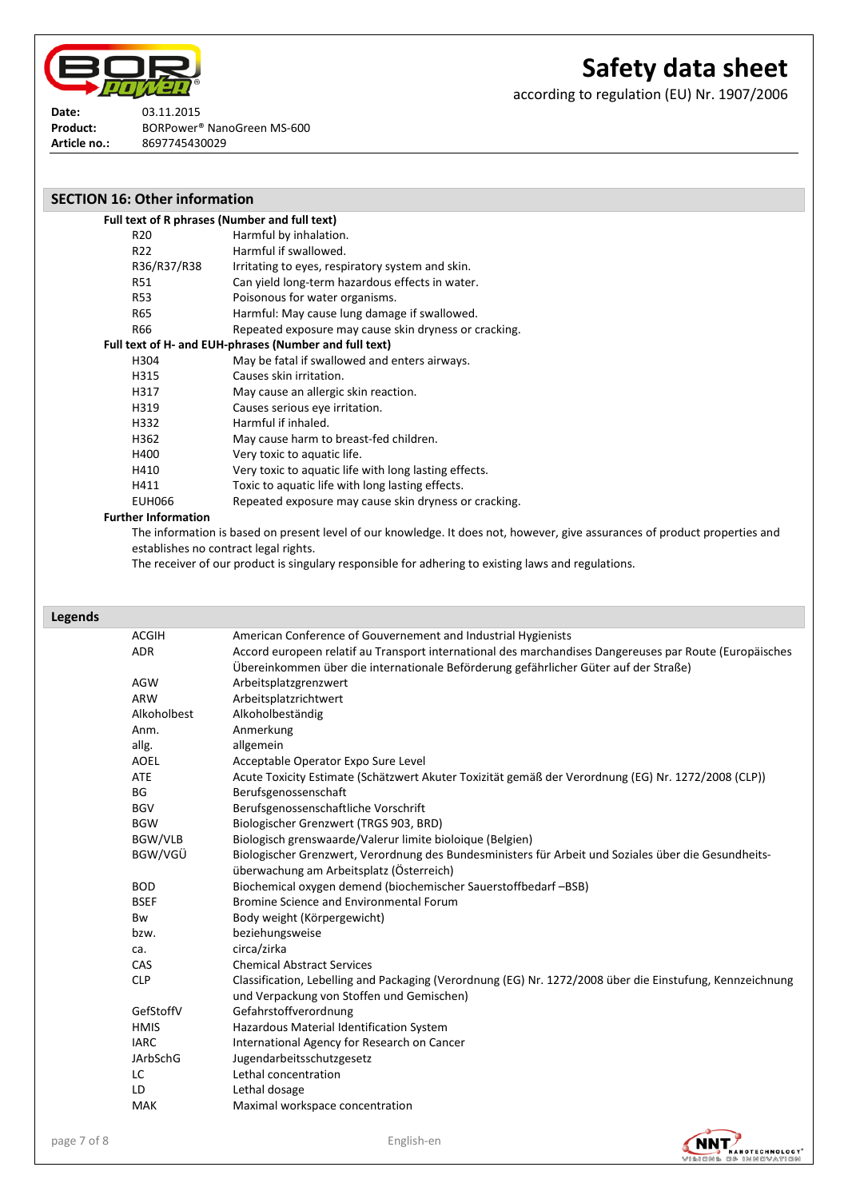

according to regulation (EU) Nr. 1907/2006

**Date:** 03.11.2015 Product: BORPower<sup>®</sup> NanoGreen MS-600 **Article no.:** 8697745430029

| <b>SECTION 16: Other information</b> |                                                        |
|--------------------------------------|--------------------------------------------------------|
|                                      | Full text of R phrases (Number and full text)          |
| R20                                  | Harmful by inhalation.                                 |
| R22                                  | Harmful if swallowed.                                  |
| R36/R37/R38                          | Irritating to eyes, respiratory system and skin.       |
| R51                                  | Can yield long-term hazardous effects in water.        |
| <b>R53</b>                           | Poisonous for water organisms.                         |
| R65                                  | Harmful: May cause lung damage if swallowed.           |
| R66                                  | Repeated exposure may cause skin dryness or cracking.  |
|                                      | Full text of H- and EUH-phrases (Number and full text) |
| H304                                 | May be fatal if swallowed and enters airways.          |
| H315                                 | Causes skin irritation.                                |
| H317                                 | May cause an allergic skin reaction.                   |
| H319                                 | Causes serious eye irritation.                         |
| H332                                 | Harmful if inhaled.                                    |
| H362                                 | May cause harm to breast-fed children.                 |
| H400                                 | Very toxic to aquatic life.                            |
| H410                                 | Very toxic to aquatic life with long lasting effects.  |
| H411                                 | Toxic to aquatic life with long lasting effects.       |
| <b>EUH066</b>                        | Repeated exposure may cause skin dryness or cracking.  |
| <b>Further Information</b>           |                                                        |

#### **Further Information**

The information is based on present level of our knowledge. It does not, however, give assurances of product properties and establishes no contract legal rights.

The receiver of our product is singulary responsible for adhering to existing laws and regulations.

## **Legends**

| <b>ACGIH</b>    | American Conference of Gouvernement and Industrial Hygienists                                             |
|-----------------|-----------------------------------------------------------------------------------------------------------|
| <b>ADR</b>      | Accord europeen relatif au Transport international des marchandises Dangereuses par Route (Europäisches   |
|                 | Übereinkommen über die internationale Beförderung gefährlicher Güter auf der Straße)                      |
| <b>AGW</b>      | Arbeitsplatzgrenzwert                                                                                     |
| ARW             | Arbeitsplatzrichtwert                                                                                     |
| Alkoholbest     | Alkoholbeständig                                                                                          |
| Anm.            | Anmerkung                                                                                                 |
| allg.           | allgemein                                                                                                 |
| AOEL            | Acceptable Operator Expo Sure Level                                                                       |
| ATE             | Acute Toxicity Estimate (Schätzwert Akuter Toxizität gemäß der Verordnung (EG) Nr. 1272/2008 (CLP))       |
| <b>BG</b>       | Berufsgenossenschaft                                                                                      |
| <b>BGV</b>      | Berufsgenossenschaftliche Vorschrift                                                                      |
| <b>BGW</b>      | Biologischer Grenzwert (TRGS 903, BRD)                                                                    |
| BGW/VLB         | Biologisch grenswaarde/Valerur limite bioloique (Belgien)                                                 |
| BGW/VGÜ         | Biologischer Grenzwert, Verordnung des Bundesministers für Arbeit und Soziales über die Gesundheits-      |
|                 | überwachung am Arbeitsplatz (Österreich)                                                                  |
| <b>BOD</b>      | Biochemical oxygen demend (biochemischer Sauerstoffbedarf-BSB)                                            |
| <b>BSEF</b>     | Bromine Science and Environmental Forum                                                                   |
| Bw              | Body weight (Körpergewicht)                                                                               |
| bzw.            | beziehungsweise                                                                                           |
| ca.             | circa/zirka                                                                                               |
| CAS             | <b>Chemical Abstract Services</b>                                                                         |
| <b>CLP</b>      | Classification, Lebelling and Packaging (Verordnung (EG) Nr. 1272/2008 über die Einstufung, Kennzeichnung |
|                 | und Verpackung von Stoffen und Gemischen)                                                                 |
| GefStoffV       | Gefahrstoffverordnung                                                                                     |
| <b>HMIS</b>     | Hazardous Material Identification System                                                                  |
| <b>IARC</b>     | International Agency for Research on Cancer                                                               |
| <b>JArbSchG</b> | Jugendarbeitsschutzgesetz                                                                                 |
| LC              | Lethal concentration                                                                                      |
| LD              | Lethal dosage                                                                                             |
| <b>MAK</b>      | Maximal workspace concentration                                                                           |